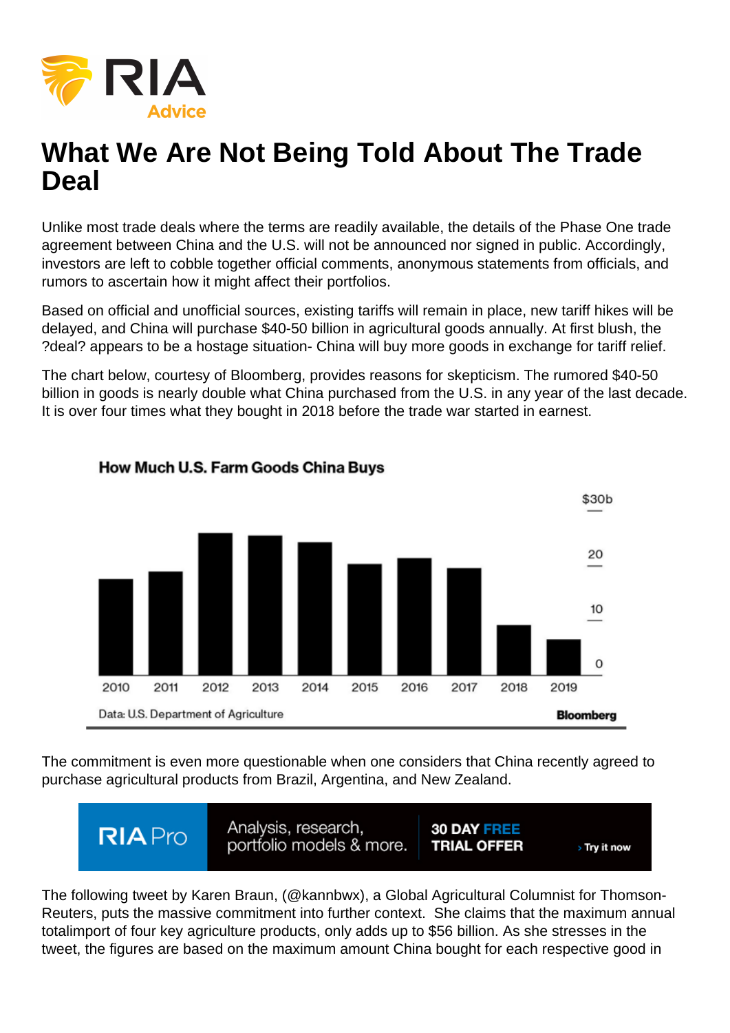

# **What We Are Not Being Told About The Trade Deal**

Unlike most trade deals where the terms are readily available, the details of the Phase One trade agreement between China and the U.S. will not be announced nor signed in public. Accordingly, investors are left to cobble together official comments, anonymous statements from officials, and rumors to ascertain how it might affect their portfolios.

Based on official and unofficial sources, existing tariffs will remain in place, new tariff hikes will be delayed, and China will purchase \$40-50 billion in agricultural goods annually. At first blush, the ?deal? appears to be a hostage situation- China will buy more goods in exchange for tariff relief.

The chart below, courtesy of Bloomberg, provides reasons for skepticism. The rumored \$40-50 billion in goods is nearly double what China purchased from the U.S. in any year of the last decade. It is over four times what they bought in 2018 before the trade war started in earnest.



#### How Much U.S. Farm Goods China Buys

The commitment is even more questionable when one considers that China recently agreed to purchase agricultural products from Brazil, Argentina, and New Zealand.



The following tweet by Karen Braun, (@kannbwx), a Global Agricultural Columnist for Thomson-Reuters, puts the massive commitment into further context. She claims that the maximum annual totalimport of four key agriculture products, only adds up to \$56 billion. As she stresses in the tweet, the figures are based on the maximum amount China bought for each respective good in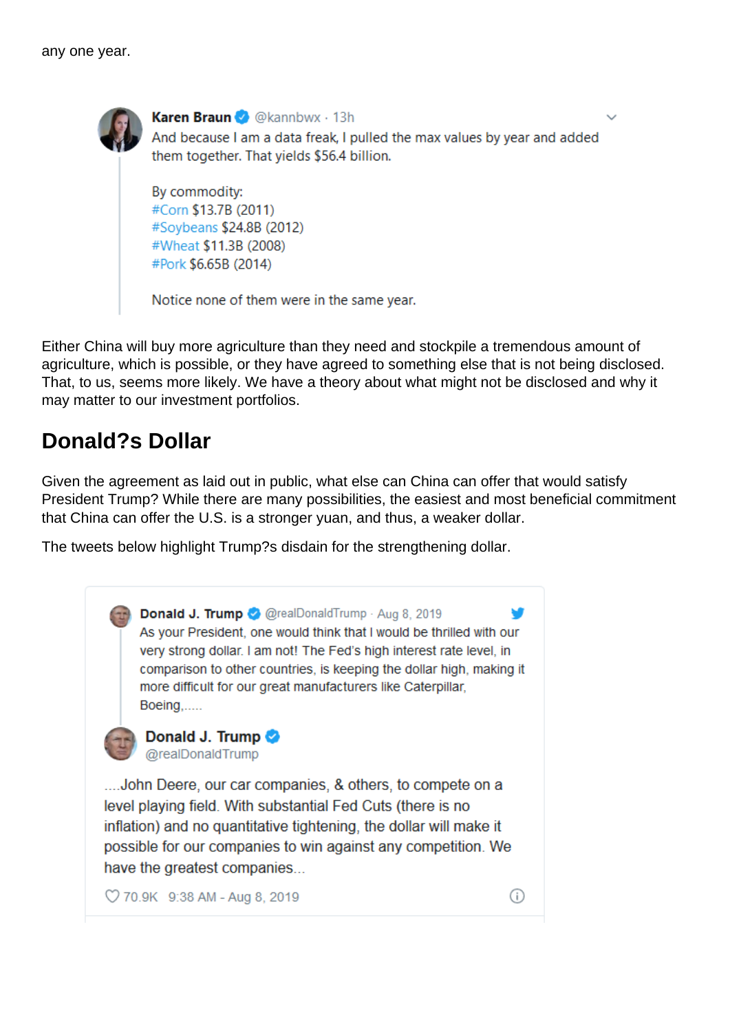

Karen Braun @ @kannbwx · 13h And because I am a data freak, I pulled the max values by year and added them together. That vields \$56.4 billion.

By commodity: #Corn \$13.7B (2011) #Soybeans \$24.8B (2012) #Wheat \$11.3B (2008) #Pork \$6.65B (2014)

Notice none of them were in the same year.

Either China will buy more agriculture than they need and stockpile a tremendous amount of agriculture, which is possible, or they have agreed to something else that is not being disclosed. That, to us, seems more likely. We have a theory about what might not be disclosed and why it may matter to our investment portfolios.

### **Donald?s Dollar**

Given the agreement as laid out in public, what else can China can offer that would satisfy President Trump? While there are many possibilities, the easiest and most beneficial commitment that China can offer the U.S. is a stronger yuan, and thus, a weaker dollar.

The tweets below highlight Trump?s disdain for the strengthening dollar.

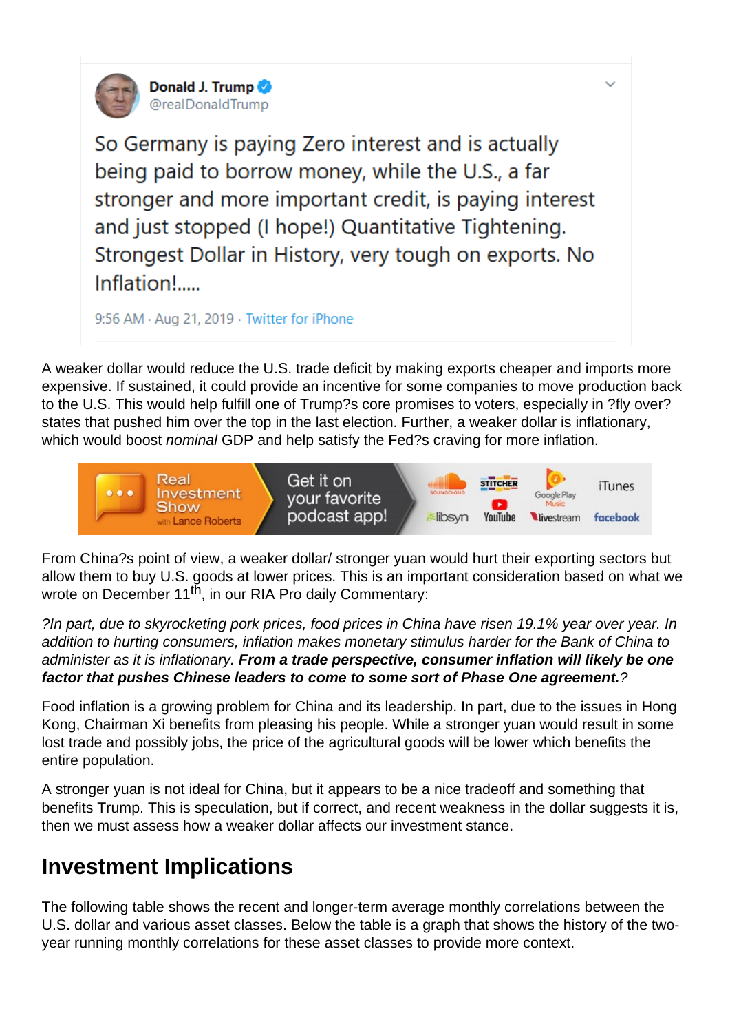

Donald J. Trump @realDonaldTrump

So Germany is paying Zero interest and is actually being paid to borrow money, while the U.S., a far stronger and more important credit, is paying interest and just stopped (I hope!) Quantitative Tightening. Strongest Dollar in History, very tough on exports. No Inflation!.....

9:56 AM · Aug 21, 2019 · Twitter for iPhone

A weaker dollar would reduce the U.S. trade deficit by making exports cheaper and imports more expensive. If sustained, it could provide an incentive for some companies to move production back to the U.S. This would help fulfill one of Trump?s core promises to voters, especially in ?fly over? states that pushed him over the top in the last election. Further, a weaker dollar is inflationary, which would boost *nominal* GDP and help satisfy the Fed?s craving for more inflation.



From China?s point of view, a weaker dollar/ stronger yuan would hurt their exporting sectors but allow them to buy U.S. goods at lower prices. This is an important consideration based on what we wrote on December 11<sup>th</sup>, in our RIA Pro daily Commentary:

?In part, due to skyrocketing pork prices, food prices in China have risen 19.1% year over year. In addition to hurting consumers, inflation makes monetary stimulus harder for the Bank of China to administer as it is inflationary. **From a trade perspective, consumer inflation will likely be one factor that pushes Chinese leaders to come to some sort of Phase One agreement.**?

Food inflation is a growing problem for China and its leadership. In part, due to the issues in Hong Kong, Chairman Xi benefits from pleasing his people. While a stronger yuan would result in some lost trade and possibly jobs, the price of the agricultural goods will be lower which benefits the entire population.

A stronger yuan is not ideal for China, but it appears to be a nice tradeoff and something that benefits Trump. This is speculation, but if correct, and recent weakness in the dollar suggests it is, then we must assess how a weaker dollar affects our investment stance.

## **Investment Implications**

The following table shows the recent and longer-term average monthly correlations between the U.S. dollar and various asset classes. Below the table is a graph that shows the history of the twoyear running monthly correlations for these asset classes to provide more context.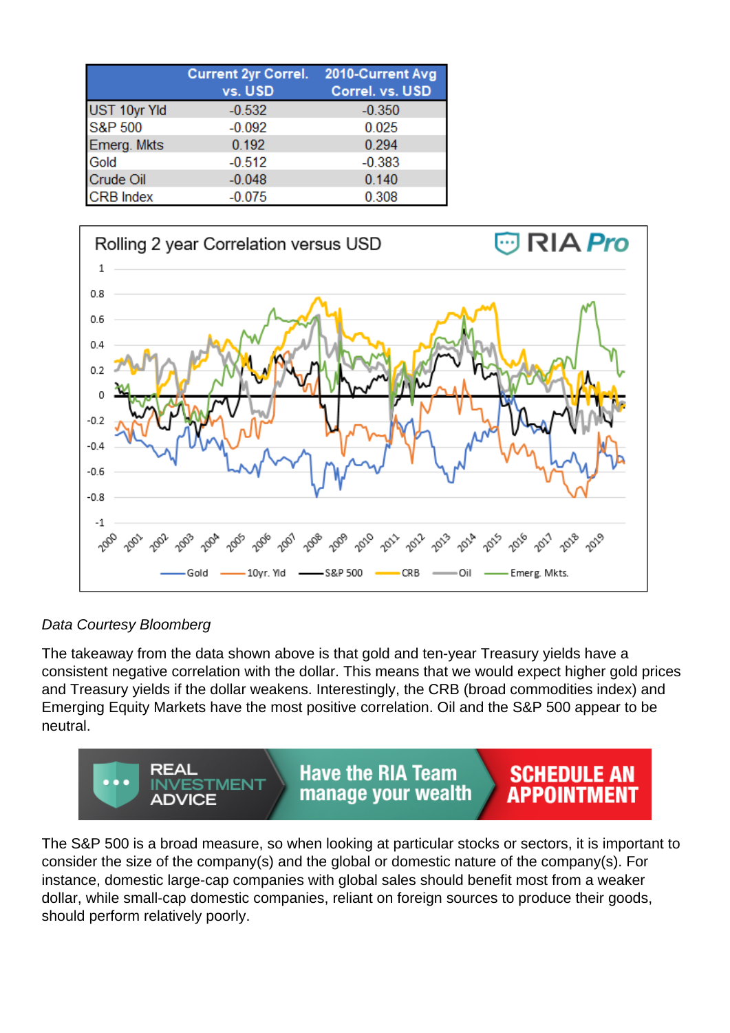|                  | Current 2yr Correl. 2010-Current Avg<br>vs. USD | Correl. vs. USD |
|------------------|-------------------------------------------------|-----------------|
| UST 10yr Yld     | $-0.532$                                        | $-0.350$        |
| S&P 500          | $-0.092$                                        | 0.025           |
| Emerg. Mkts      | 0.192                                           | 0.294           |
| Gold             | $-0.512$                                        | $-0.383$        |
| Crude Oil        | $-0.048$                                        | 0.140           |
| <b>CRB</b> Index | $-0.075$                                        | 0.308           |



#### Data Courtesy Bloomberg

The takeaway from the data shown above is that gold and ten-year Treasury yields have a consistent negative correlation with the dollar. This means that we would expect higher gold prices and Treasury yields if the dollar weakens. Interestingly, the CRB (broad commodities index) and Emerging Equity Markets have the most positive correlation. Oil and the S&P 500 appear to be neutral.



The S&P 500 is a broad measure, so when looking at particular stocks or sectors, it is important to consider the size of the company(s) and the global or domestic nature of the company(s). For instance, domestic large-cap companies with global sales should benefit most from a weaker dollar, while small-cap domestic companies, reliant on foreign sources to produce their goods, should perform relatively poorly.